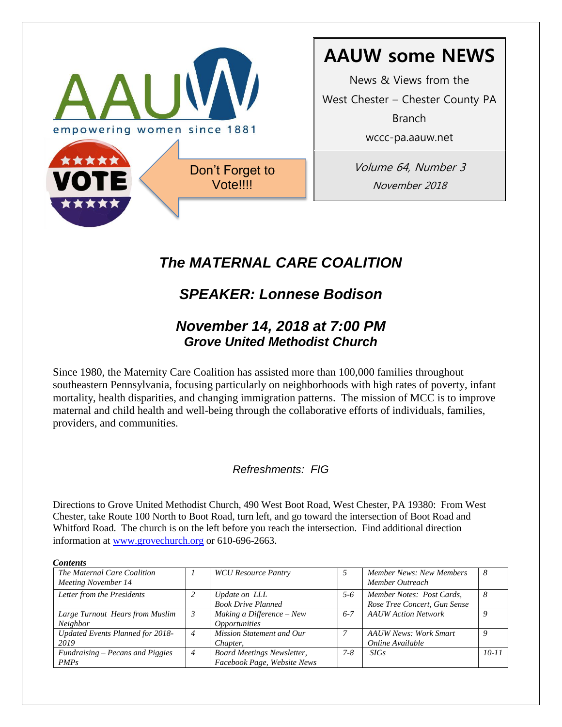

# **AAUW some NEWS**

News & Views from the

West Chester – Chester County PA

Branch

wccc-pa.aauw.net

Volume 64, Number 3 November 2018

# *The MATERNAL CARE COALITION*

# *SPEAKER: Lonnese Bodison*

## *November 14, 2018 at 7:00 PM Grove United Methodist Church*

Since 1980, the Maternity Care Coalition has assisted more than 100,000 families throughout southeastern Pennsylvania, focusing particularly on neighborhoods with high rates of poverty, infant mortality, health disparities, and changing immigration patterns. The mission of MCC is to improve maternal and child health and well-being through the collaborative efforts of individuals, families, providers, and communities.

### *Refreshments: FIG*

Directions to Grove United Methodist Church, 490 West Boot Road, West Chester, PA 19380: From West Chester, take Route 100 North to Boot Road, turn left, and go toward the intersection of Boot Road and Whitford Road. The church is on the left before you reach the intersection. Find additional direction information at [www.grovechurch.org](http://www.grovechurch.org/) or 610-696-2663.

| 1,111111111111                                     |   |                                                                  |         |                                                           |           |
|----------------------------------------------------|---|------------------------------------------------------------------|---------|-----------------------------------------------------------|-----------|
| The Maternal Care Coalition<br>Meeting November 14 |   | <b>WCU</b> Resource Pantry                                       |         | Member News: New Members<br>Member Outreach               |           |
| Letter from the Presidents                         |   | Update on LLL<br><b>Book Drive Planned</b>                       | 5-6     | Member Notes: Post Cards,<br>Rose Tree Concert, Gun Sense |           |
| Large Turnout Hears from Muslim<br>Neighbor        |   | Making a Difference $-$ New<br><i><b>Opportunities</b></i>       | $6 - 7$ | <b>AAUW</b> Action Network                                |           |
| <b>Updated Events Planned for 2018-</b><br>2019    | 4 | Mission Statement and Our<br>Chapter,                            |         | <b>AAUW News: Work Smart</b><br>Online Available          |           |
| Fundraising – Pecans and Piggies<br><i>PMPs</i>    | 4 | <b>Board Meetings Newsletter,</b><br>Facebook Page, Website News | $7 - 8$ | SIGs                                                      | $10 - 11$ |

*Contents*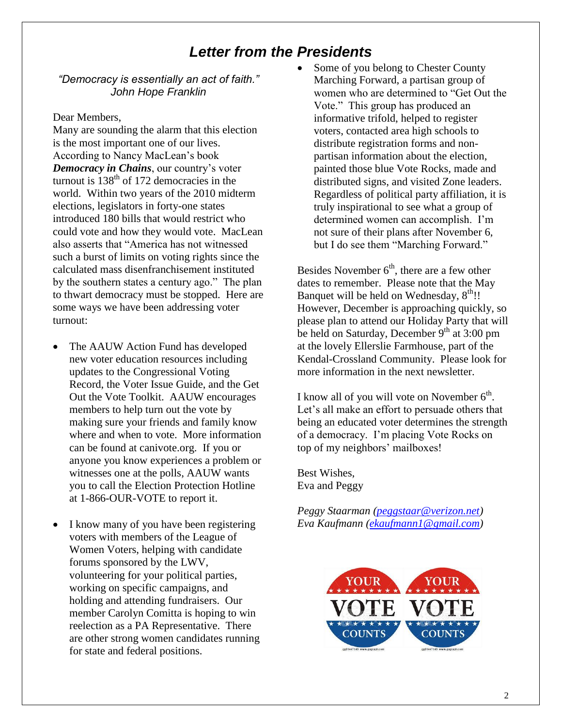## *Letter from the Presidents*

#### *"Democracy is essentially an act of faith." John Hope Franklin*

#### Dear Members,

Many are sounding the alarm that this election is the most important one of our lives. According to Nancy MacLean's book *Democracy in Chains*, our country's voter turnout is  $138<sup>th</sup>$  of 172 democracies in the world. Within two years of the 2010 midterm elections, legislators in forty-one states introduced 180 bills that would restrict who could vote and how they would vote. MacLean also asserts that "America has not witnessed such a burst of limits on voting rights since the calculated mass disenfranchisement instituted by the southern states a century ago." The plan to thwart democracy must be stopped. Here are some ways we have been addressing voter turnout:

- The AAUW Action Fund has developed new voter education resources including updates to the Congressional Voting Record, the Voter Issue Guide, and the Get Out the Vote Toolkit. AAUW encourages members to help turn out the vote by making sure your friends and family know where and when to vote. More information can be found at canivote.org. If you or anyone you know experiences a problem or witnesses one at the polls, AAUW wants you to call the Election Protection Hotline at 1-866-OUR-VOTE to report it.
- I know many of you have been registering voters with members of the League of Women Voters, helping with candidate forums sponsored by the LWV, volunteering for your political parties, working on specific campaigns, and holding and attending fundraisers. Our member Carolyn Comitta is hoping to win reelection as a PA Representative. There are other strong women candidates running for state and federal positions.

 Some of you belong to Chester County Marching Forward, a partisan group of women who are determined to "Get Out the Vote." This group has produced an informative trifold, helped to register voters, contacted area high schools to distribute registration forms and nonpartisan information about the election, painted those blue Vote Rocks, made and distributed signs, and visited Zone leaders. Regardless of political party affiliation, it is truly inspirational to see what a group of determined women can accomplish. I'm not sure of their plans after November 6, but I do see them "Marching Forward."

Besides November  $6<sup>th</sup>$ , there are a few other dates to remember. Please note that the May Banquet will be held on Wednesday,  $8<sup>th</sup>$ !! However, December is approaching quickly, so please plan to attend our Holiday Party that will be held on Saturday, December  $9<sup>th</sup>$  at 3:00 pm at the lovely Ellerslie Farmhouse, part of the Kendal-Crossland Community. Please look for more information in the next newsletter.

I know all of you will vote on November  $6<sup>th</sup>$ . Let's all make an effort to persuade others that being an educated voter determines the strength of a democracy. I'm placing Vote Rocks on top of my neighbors' mailboxes!

Best Wishes, Eva and Peggy

*Peggy Staarman [\(peggstaar@verizon.net\)](mailto:peggstaar@verizon.net) Eva Kaufmann [\(ekaufmann1@gmail.com\)](mailto:ekaufmann1@gmail.com)*

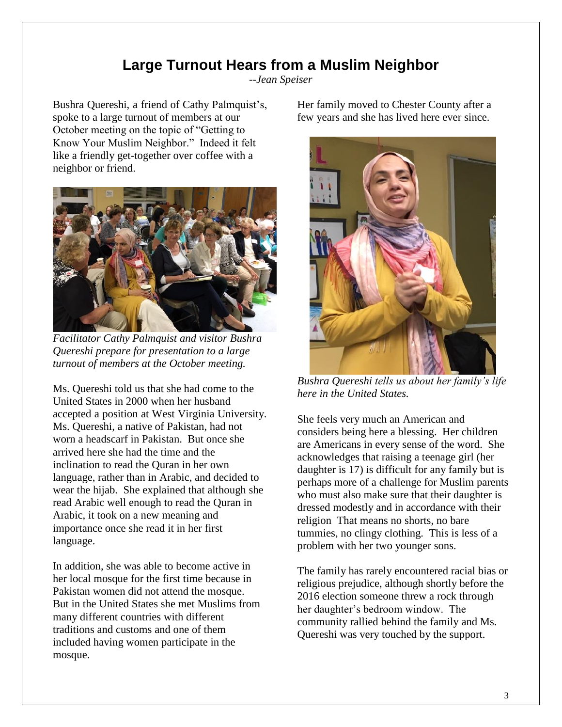## **Large Turnout Hears from a Muslim Neighbor**

*--Jean Speiser*

Bushra Quereshi, a friend of Cathy Palmquist's, spoke to a large turnout of members at our October meeting on the topic of "Getting to Know Your Muslim Neighbor." Indeed it felt like a friendly get-together over coffee with a neighbor or friend.



*Facilitator Cathy Palmquist and visitor Bushra Quereshi prepare for presentation to a large turnout of members at the October meeting.*

Ms. Quereshi told us that she had come to the United States in 2000 when her husband accepted a position at West Virginia University. Ms. Quereshi, a native of Pakistan, had not worn a headscarf in Pakistan. But once she arrived here she had the time and the inclination to read the Quran in her own language, rather than in Arabic, and decided to wear the hijab. She explained that although she read Arabic well enough to read the Quran in Arabic, it took on a new meaning and importance once she read it in her first language.

In addition, she was able to become active in her local mosque for the first time because in Pakistan women did not attend the mosque. But in the United States she met Muslims from many different countries with different traditions and customs and one of them included having women participate in the mosque.

Her family moved to Chester County after a few years and she has lived here ever since.



*Bushra Quereshi tells us about her family's life here in the United States.*

She feels very much an American and considers being here a blessing. Her children are Americans in every sense of the word. She acknowledges that raising a teenage girl (her daughter is 17) is difficult for any family but is perhaps more of a challenge for Muslim parents who must also make sure that their daughter is dressed modestly and in accordance with their religion That means no shorts, no bare tummies, no clingy clothing. This is less of a problem with her two younger sons.

The family has rarely encountered racial bias or religious prejudice, although shortly before the 2016 election someone threw a rock through her daughter's bedroom window. The community rallied behind the family and Ms. Quereshi was very touched by the support.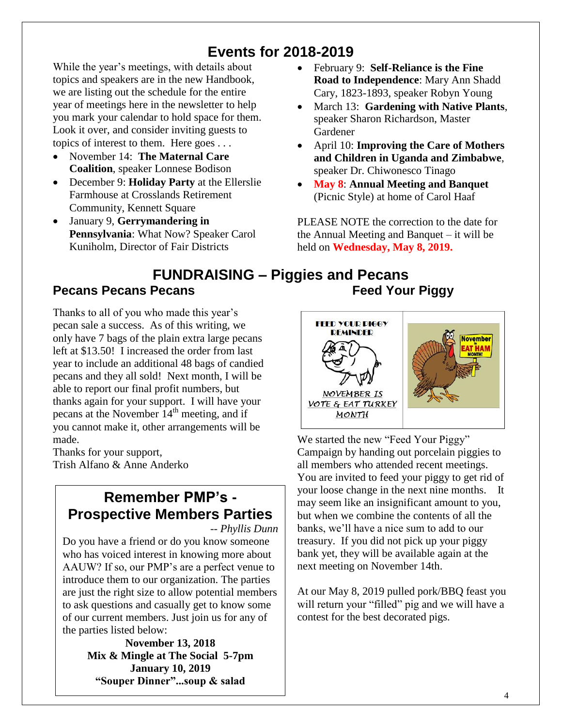# **Events for 2018-2019**

While the year's meetings, with details about topics and speakers are in the new Handbook, we are listing out the schedule for the entire year of meetings here in the newsletter to help you mark your calendar to hold space for them. Look it over, and consider inviting guests to topics of interest to them. Here goes . . .

- November 14: **The Maternal Care Coalition**, speaker Lonnese Bodison
- December 9: **Holiday Party** at the Ellerslie Farmhouse at Crosslands Retirement Community, Kennett Square
- January 9, **Gerrymandering in Pennsylvania**: What Now? Speaker Carol Kuniholm, Director of Fair Districts
- February 9: **Self-Reliance is the Fine Road to Independence**: Mary Ann Shadd Cary, 1823-1893, speaker Robyn Young
- March 13: **Gardening with Native Plants**, speaker Sharon Richardson, Master Gardener
- April 10: **Improving the Care of Mothers and Children in Uganda and Zimbabwe**, speaker Dr. Chiwonesco Tinago
- **May 8**: **Annual Meeting and Banquet** (Picnic Style) at home of Carol Haaf

PLEASE NOTE the correction to the date for the Annual Meeting and Banquet – it will be held on **Wednesday, May 8, 2019.**

#### **FUNDRAISING – Piggies and Pecans Pecans Pecans Pecans Feed Your Piggy**

Thanks to all of you who made this year's pecan sale a success. As of this writing, we only have 7 bags of the plain extra large pecans left at \$13.50! I increased the order from last year to include an additional 48 bags of candied pecans and they all sold! Next month, I will be able to report our final profit numbers, but thanks again for your support. I will have your pecans at the November  $14<sup>th</sup>$  meeting, and if you cannot make it, other arrangements will be made.

Thanks for your support, Trish Alfano & Anne Anderko

# **Remember PMP's - Prospective Members Parties**

*-- Phyllis Dunn*

Do you have a friend or do you know someone who has voiced interest in knowing more about AAUW? If so, our PMP's are a perfect venue to introduce them to our organization. The parties are just the right size to allow potential members to ask questions and casually get to know some of our current members. Just join us for any of the parties listed below:

> **November 13, 2018 Mix & Mingle at The Social 5-7pm January 10, 2019 "Souper Dinner"...soup & salad**



We started the new "Feed Your Piggy" Campaign by handing out porcelain piggies to all members who attended recent meetings. You are invited to feed your piggy to get rid of your loose change in the next nine months. It may seem like an insignificant amount to you, but when we combine the contents of all the banks, we'll have a nice sum to add to our treasury. If you did not pick up your piggy bank yet, they will be available again at the next meeting on November 14th.

At our May 8, 2019 pulled pork/BBQ feast you will return your "filled" pig and we will have a contest for the best decorated pigs.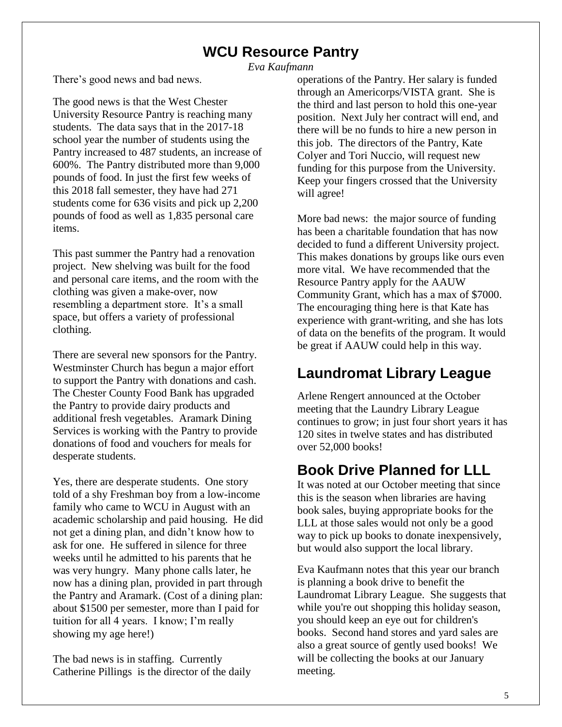## **WCU Resource Pantry**

*Eva Kaufmann*

There's good news and bad news.

The good news is that the West Chester University Resource Pantry is reaching many students. The data says that in the 2017-18 school year the number of students using the Pantry increased to 487 students, an increase of 600%. The Pantry distributed more than 9,000 pounds of food. In just the first few weeks of this 2018 fall semester, they have had 271 students come for 636 visits and pick up 2,200 pounds of food as well as 1,835 personal care items.

This past summer the Pantry had a renovation project. New shelving was built for the food and personal care items, and the room with the clothing was given a make-over, now resembling a department store. It's a small space, but offers a variety of professional clothing.

There are several new sponsors for the Pantry. Westminster Church has begun a major effort to support the Pantry with donations and cash. The Chester County Food Bank has upgraded the Pantry to provide dairy products and additional fresh vegetables. Aramark Dining Services is working with the Pantry to provide donations of food and vouchers for meals for desperate students.

Yes, there are desperate students. One story told of a shy Freshman boy from a low-income family who came to WCU in August with an academic scholarship and paid housing. He did not get a dining plan, and didn't know how to ask for one. He suffered in silence for three weeks until he admitted to his parents that he was very hungry. Many phone calls later, he now has a dining plan, provided in part through the Pantry and Aramark. (Cost of a dining plan: about \$1500 per semester, more than I paid for tuition for all 4 years. I know; I'm really showing my age here!)

The bad news is in staffing. Currently Catherine Pillings is the director of the daily operations of the Pantry. Her salary is funded through an Americorps/VISTA grant. She is the third and last person to hold this one-year position. Next July her contract will end, and there will be no funds to hire a new person in this job. The directors of the Pantry, Kate Colyer and Tori Nuccio, will request new funding for this purpose from the University. Keep your fingers crossed that the University will agree!

More bad news: the major source of funding has been a charitable foundation that has now decided to fund a different University project. This makes donations by groups like ours even more vital. We have recommended that the Resource Pantry apply for the AAUW Community Grant, which has a max of \$7000. The encouraging thing here is that Kate has experience with grant-writing, and she has lots of data on the benefits of the program. It would be great if AAUW could help in this way.

## **Laundromat Library League**

Arlene Rengert announced at the October meeting that the Laundry Library League continues to grow; in just four short years it has 120 sites in twelve states and has distributed over 52,000 books!

# **Book Drive Planned for LLL**

It was noted at our October meeting that since this is the season when libraries are having book sales, buying appropriate books for the LLL at those sales would not only be a good way to pick up books to donate inexpensively, but would also support the local library.

Eva Kaufmann notes that this year our branch is planning a book drive to benefit the Laundromat Library League. She suggests that while you're out shopping this holiday season, you should keep an eye out for children's books. Second hand stores and yard sales are also a great source of gently used books! We will be collecting the books at our January meeting.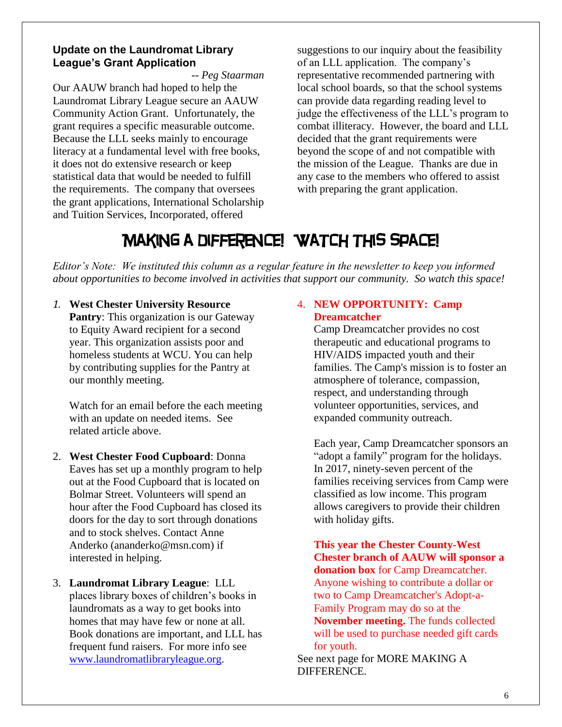#### **Update on the Laundromat Library League's Grant Application**

*-- Peg Staarman* Our AAUW branch had hoped to help the Laundromat Library League secure an AAUW Community Action Grant. Unfortunately, the grant requires a specific measurable outcome. Because the LLL seeks mainly to encourage literacy at a fundamental level with free books, it does not do extensive research or keep statistical data that would be needed to fulfill the requirements. The company that oversees the grant applications, International Scholarship and Tuition Services, Incorporated, offered

suggestions to our inquiry about the feasibility of an LLL application. The company's representative recommended partnering with local school boards, so that the school systems can provide data regarding reading level to judge the effectiveness of the LLL's program to combat illiteracy. However, the board and LLL decided that the grant requirements were beyond the scope of and not compatible with the mission of the League. Thanks are due in any case to the members who offered to assist with preparing the grant application.

# Making a difference! Watch this space!

*Editor's Note: We instituted this column as a regular feature in the newsletter to keep you informed about opportunities to become involved in activities that support our community. So watch this space!*

*1.* **West Chester University Resource** 

**Pantry:** This organization is our Gateway to Equity Award recipient for a second year. This organization assists poor and homeless students at WCU. You can help by contributing supplies for the Pantry at our monthly meeting.

Watch for an email before the each meeting with an update on needed items. See related article above.

- 2. **West Chester Food Cupboard**: Donna Eaves has set up a monthly program to help out at the Food Cupboard that is located on Bolmar Street. Volunteers will spend an hour after the Food Cupboard has closed its doors for the day to sort through donations and to stock shelves. Contact Anne Anderko (ananderko@msn.com) if interested in helping.
- 3. **Laundromat Library League**: LLL places library boxes of children's books in laundromats as a way to get books into homes that may have few or none at all. Book donations are important, and LLL has frequent fund raisers. For more info see [www.laundromatlibraryleague.org.](http://www.laundromatlibraryleague.org/)

#### 4. **NEW OPPORTUNITY: Camp Dreamcatcher**

Camp Dreamcatcher provides no cost therapeutic and educational programs to HIV/AIDS impacted youth and their families. The Camp's mission is to foster an atmosphere of tolerance, compassion, respect, and understanding through volunteer opportunities, services, and expanded community outreach.

Each year, Camp Dreamcatcher sponsors an "adopt a family" program for the holidays. In 2017, ninety-seven percent of the families receiving services from Camp were classified as low income. This program allows caregivers to provide their children with holiday gifts.

**This year the Chester County-West Chester branch of AAUW will sponsor a donation box** for Camp Dreamcatcher. Anyone wishing to contribute a dollar or two to Camp Dreamcatcher's Adopt-a-Family Program may do so at the **November meeting.** The funds collected will be used to purchase needed gift cards for youth.

See next page for MORE MAKING A DIFFERENCE.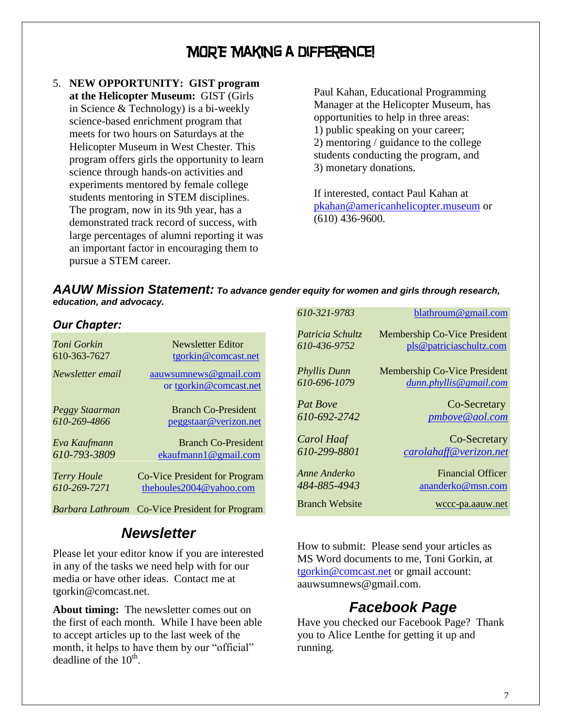## MORE Making a difference!

5. **NEW OPPORTUNITY: GIST program at the Helicopter Museum:** GIST (Girls in Science & Technology) is a bi-weekly science-based enrichment program that meets for two hours on Saturdays at the Helicopter Museum in West Chester. This program offers girls the opportunity to learn science through hands-on activities and experiments mentored by female college students mentoring in STEM disciplines. The program, now in its 9th year, has a demonstrated track record of success, with large percentages of alumni reporting it was an important factor in encouraging them to pursue a STEM career.

Paul Kahan, Educational Programming Manager at the Helicopter Museum, has opportunities to help in three areas: 1) public speaking on your career; 2) mentoring / guidance to the college students conducting the program, and 3) monetary donations.

If interested, contact Paul Kahan at [pkahan@americanhelicopter.museum](mailto:pkahan@americanhelicopter.museum) or (610) 436-9600.

| AAUW Mission Statement: To advance gender equity for women and girls through research, |  |
|----------------------------------------------------------------------------------------|--|
| education, and advocacy.                                                               |  |

#### *Our Chapter:*

| Toni Gorkin        | Newsletter Editor                               |
|--------------------|-------------------------------------------------|
| 610-363-7627       | tgorkin@comcast.net                             |
| Newsletter email   | aauwsumnews@gmail.com<br>or tgorkin@comcast.net |
| Peggy Staarman     | <b>Branch Co-President</b>                      |
| 610-269-4866       | peggstaar@verizon.net                           |
| Eva Kaufmann       | <b>Branch Co-President</b>                      |
| 610-793-3809       | ekaufmann1@gmail.com                            |
| <b>Terry Houle</b> | Co-Vice President for Program                   |
| 610-269-7271       | the houles $2004@$ vahoo.com                    |

*Barbara Lathroum* Co-Vice President for Program

### *Newsletter*

Please let your editor know if you are interested in any of the tasks we need help with for our media or have other ideas. Contact me at tgorkin@comcast.net.

**About timing:** The newsletter comes out on the first of each month. While I have been able to accept articles up to the last week of the month, it helps to have them by our "official" deadline of the  $10^{th}$ .

| 610-321-9783          | blathroum@gmail.com                 |
|-----------------------|-------------------------------------|
| Patricia Schultz      | <b>Membership Co-Vice President</b> |
| 610-436-9752          | pls@patriciaschultz.com             |
| Phyllis Dunn          | Membership Co-Vice President        |
| 610-696-1079          | dunn.phyllis@gmail.com              |
| <b>Pat Boye</b>       | Co-Secretary                        |
| 610-692-2742          | pmbove@aol.com                      |
| Carol Haaf            | Co-Secretary                        |
| 610-299-8801          | carolahaff@verizon.net              |
| Anne Anderko          | <b>Financial Officer</b>            |
| 484-885-4943          | ananderko@msn.com                   |
| <b>Branch Website</b> | wccc-pa.aauw.net                    |

How to submit: Please send your articles as MS Word documents to me, Toni Gorkin, at [tgorkin@comcast.net](mailto:tgorkin@comcast.net) or gmail account: aauwsumnews@gmail.com.

## *Facebook Page*

Have you checked our Facebook Page? Thank you to Alice Lenthe for getting it up and running.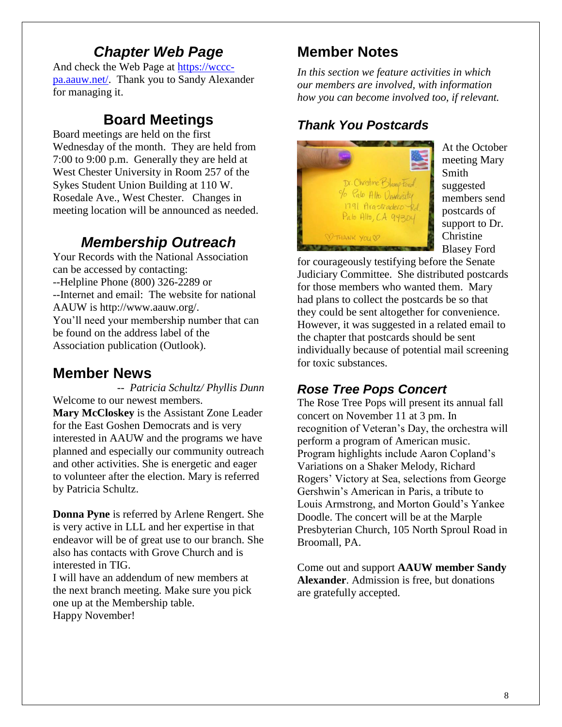## *Chapter Web Page*

And check the Web Page at [https://wccc](https://wccc-pa.aauw.net/)[pa.aauw.net/.](https://wccc-pa.aauw.net/) Thank you to Sandy Alexander for managing it.

## **Board Meetings**

Board meetings are held on the first Wednesday of the month. They are held from 7:00 to 9:00 p.m. Generally they are held at West Chester University in Room 257 of the Sykes Student Union Building at 110 W. Rosedale Ave., West Chester. Changes in meeting location will be announced as needed.

# *Membership Outreach*

Your Records with the National Association can be accessed by contacting: --Helpline Phone (800) 326-2289 or --Internet and email: The website for national AAUW is http://www.aauw.org/. You'll need your membership number that can be found on the address label of the Association publication (Outlook).

# **Member News**

*-- Patricia Schultz/ Phyllis Dunn* Welcome to our newest members. **Mary McCloskey** is the Assistant Zone Leader for the East Goshen Democrats and is very interested in AAUW and the programs we have planned and especially our community outreach and other activities. She is energetic and eager to volunteer after the election. Mary is referred by Patricia Schultz.

**Donna Pyne** is referred by Arlene Rengert. She is very active in LLL and her expertise in that endeavor will be of great use to our branch. She also has contacts with Grove Church and is interested in TIG.

I will have an addendum of new members at the next branch meeting. Make sure you pick one up at the Membership table. Happy November!

# **Member Notes**

*In this section we feature activities in which our members are involved, with information how you can become involved too, if relevant.*

# *Thank You Postcards*



At the October meeting Mary Smith suggested members send postcards of support to Dr. Christine Blasey Ford

for courageously testifying before the Senate Judiciary Committee. She distributed postcards for those members who wanted them. Mary had plans to collect the postcards be so that they could be sent altogether for convenience. However, it was suggested in a related email to the chapter that postcards should be sent individually because of potential mail screening for toxic substances.

# *Rose Tree Pops Concert*

The Rose Tree Pops will present its annual fall concert on November 11 at 3 pm. In recognition of Veteran's Day, the orchestra will perform a program of American music. Program highlights include Aaron Copland's Variations on a Shaker Melody, Richard Rogers' Victory at Sea, selections from George Gershwin's American in Paris, a tribute to Louis Armstrong, and Morton Gould's Yankee Doodle. The concert will be at the Marple Presbyterian Church, 105 North Sproul Road in Broomall, PA.

Come out and support **AAUW member Sandy Alexander**. Admission is free, but donations are gratefully accepted.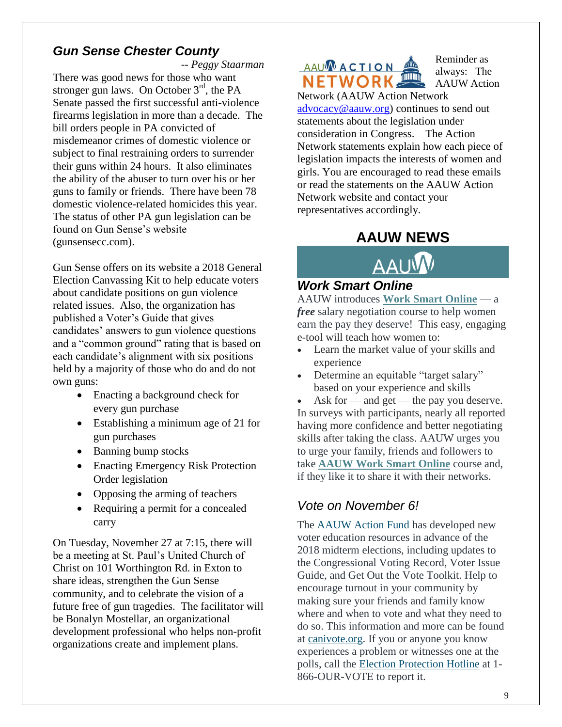### *Gun Sense Chester County*

*-- Peggy Staarman*

There was good news for those who want stronger gun laws. On October  $3<sup>rd</sup>$ , the PA Senate passed the first successful anti-violence firearms legislation in more than a decade. The bill orders people in PA convicted of misdemeanor crimes of domestic violence or subject to final restraining orders to surrender their guns within 24 hours. It also eliminates the ability of the abuser to turn over his or her guns to family or friends. There have been 78 domestic violence-related homicides this year. The status of other PA gun legislation can be found on Gun Sense's website (gunsensecc.com).

Gun Sense offers on its website a 2018 General Election Canvassing Kit to help educate voters about candidate positions on gun violence related issues. Also, the organization has published a Voter's Guide that gives candidates' answers to gun violence questions and a "common ground" rating that is based on each candidate's alignment with six positions held by a majority of those who do and do not own guns:

- Enacting a background check for every gun purchase
- Establishing a minimum age of 21 for gun purchases
- Banning bump stocks
- Enacting Emergency Risk Protection Order legislation
- Opposing the arming of teachers
- Requiring a permit for a concealed carry

On Tuesday, November 27 at 7:15, there will be a meeting at St. Paul's United Church of Christ on 101 Worthington Rd. in Exton to share ideas, strengthen the Gun Sense community, and to celebrate the vision of a future free of gun tragedies. The facilitator will be Bonalyn Mostellar, an organizational development professional who helps non-profit organizations create and implement plans.

**AAUWACTION NETWORK** 

Reminder as always: The AAUW Action

Network (AAUW Action Network [advocacy@aauw.org\)](mailto:advocacy@aauw.org) continues to send out statements about the legislation under consideration in Congress. The Action Network statements explain how each piece of legislation impacts the interests of women and girls. You are encouraged to read these emails or read the statements on the AAUW Action Network website and contact your representatives accordingly.

## **AAUW NEWS**



#### *Work Smart Online*

AAUW introduces **[Work Smart Online](http://salsa4.salsalabs.com/dia/track.jsp?v=2&c=H5%2FmoF9%2FoaAwWPUkwW9%2FtMo7S53nBIrO)** — a *free* salary negotiation course to help women earn the pay they deserve! This easy, engaging e-tool will teach how women to:

- Learn the market value of your skills and experience
- Determine an equitable "target salary" based on your experience and skills

Ask for — and get — the pay you deserve. In surveys with participants, nearly all reported having more confidence and better negotiating skills after taking the class. AAUW urges you to urge your family, friends and followers to take **[AAUW Work Smart Online](http://salsa4.salsalabs.com/dia/track.jsp?v=2&c=iPof8T5dL2rD6LT9WmnqqRiZKzjb7Xky)** course and, if they like it to share it with their networks.

### *[Vote on November 6!](http://salsa4.salsalabs.com/dia/track.jsp?v=2&c=H%2Fn7LMqSxwDtSfkPHGvQMEOwHNckQ0oQ)*

The [AAUW Action Fund](http://salsa4.salsalabs.com/dia/track.jsp?v=2&c=xlHMb%2BCTIjmVlrjq3XsddUOwHNckQ0oQ) has developed new voter education resources in advance of the 2018 midterm elections, including updates to the Congressional Voting Record, Voter Issue Guide, and Get Out the Vote Toolkit. Help to encourage turnout in your community by making sure your friends and family know where and when to vote and what they need to do so. This information and more can be found at [canivote.org.](http://salsa4.salsalabs.com/dia/track.jsp?v=2&c=XjIydU2MpU%2FqBGF80p8u5EOwHNckQ0oQ) If you or anyone you know experiences a problem or witnesses one at the polls, call the [Election Protection Hotline](http://salsa4.salsalabs.com/dia/track.jsp?v=2&c=BdYYeKYUSc%2F8kNZNAd3Fz0OwHNckQ0oQ) at 1- 866-OUR-VOTE to report it.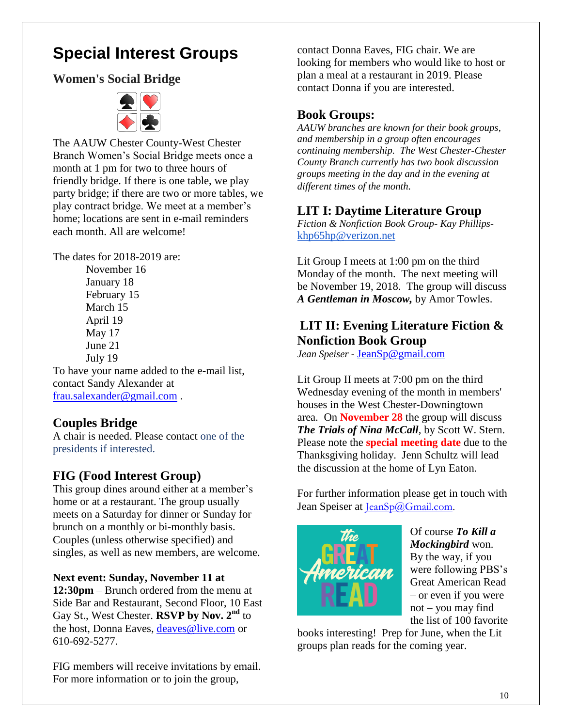# **Special Interest Groups**

### **Women's Social Bridge**



The AAUW Chester County-West Chester Branch Women's Social Bridge meets once a month at 1 pm for two to three hours of friendly bridge. If there is one table, we play party bridge; if there are two or more tables, we play contract bridge. We meet at a member's home; locations are sent in e-mail reminders each month. All are welcome!

The dates for 2018-2019 are:

November 16 January 18 February 15 March 15 April 19 May 17 June 21 July 19

To have your name added to the e-mail list, contact Sandy Alexander at [frau.salexander@gmail.com](mailto:frau.salexander@gmail.com) .

### **Couples Bridge**

A chair is needed. Please contact one of the presidents if interested.

### **FIG (Food Interest Group)**

This group dines around either at a member's home or at a restaurant. The group usually meets on a Saturday for dinner or Sunday for brunch on a monthly or bi-monthly basis. Couples (unless otherwise specified) and singles, as well as new members, are welcome.

## **Next event: Sunday, November 11 at**

**12:30pm** – Brunch ordered from the menu at Side Bar and Restaurant, Second Floor, 10 East Gay St., West Chester. **RSVP by Nov. 2nd** to the host, Donna Eaves, [deaves@live.com](mailto:deaves@live.com) or 610-692-5277.

FIG members will receive invitations by email. For more information or to join the group,

contact Donna Eaves, FIG chair. We are looking for members who would like to host or plan a meal at a restaurant in 2019. Please contact Donna if you are interested.

#### **Book Groups:**

*AAUW branches are known for their book groups, and membership in a group often encourages continuing membership. The West Chester-Chester County Branch currently has two book discussion groups meeting in the day and in the evening at different times of the month.* 

### **LIT I: Daytime Literature Group**

*Fiction & Nonfiction Book Group- Kay Phillips*[khp65hp@verizon.net](mailto:khp65hp@verizon.net)

Lit Group I meets at 1:00 pm on the third Monday of the month. The next meeting will be November 19, 2018. The group will discuss *A Gentleman in Moscow,* by Amor Towles.

### **LIT II: Evening Literature Fiction & Nonfiction Book Group**

*Jean Speiser -* [JeanSp@gmail.com](mailto:JeanSp@gmail.com)

Lit Group II meets at 7:00 pm on the third Wednesday evening of the month in members' houses in the West Chester-Downingtown area. On **November 28** the group will discuss *The Trials of Nina McCall*, by Scott W. Stern. Please note the **special meeting date** due to the Thanksgiving holiday. Jenn Schultz will lead the discussion at the home of Lyn Eaton.

For further information please get in touch with Jean Speiser at [JeanSp@Gmail.com.](mailto:JeanSp@Gmail.com)



Of course *To Kill a Mockingbird* won. By the way, if you were following PBS's Great American Read – or even if you were not – you may find the list of 100 favorite

books interesting! Prep for June, when the Lit groups plan reads for the coming year.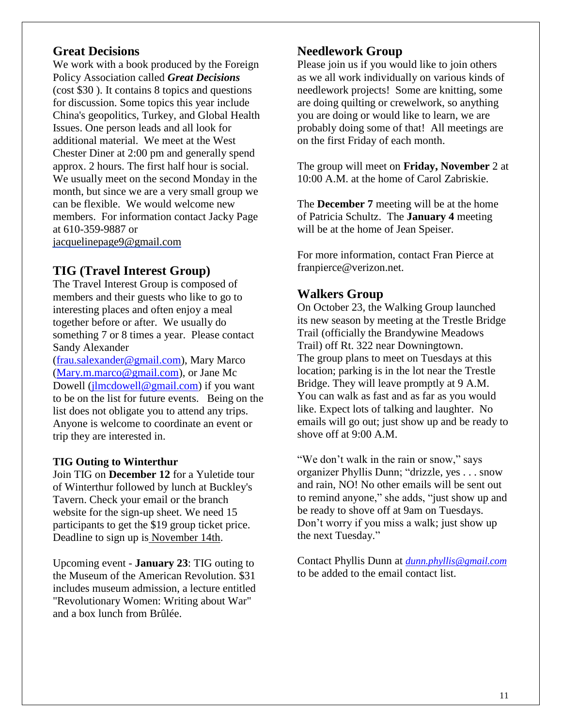#### **Great Decisions**

We work with a book produced by the Foreign Policy Association called *Great Decisions* (cost \$30 ). It contains 8 topics and questions for discussion. Some topics this year include China's geopolitics, Turkey, and Global Health Issues. One person leads and all look for additional material. We meet at the West Chester Diner at 2:00 pm and generally spend approx. 2 hours. The first half hour is social. We usually meet on the second Monday in the month, but since we are a very small group we can be flexible. We would welcome new members. For information contact Jacky Page at 610-359-9887 or

[jacquelinepage9@gmail.com](mailto:jacquelinepage9@gmail.com)

#### **TIG (Travel Interest Group)**

The Travel Interest Group is composed of members and their guests who like to go to interesting places and often enjoy a meal together before or after. We usually do something 7 or 8 times a year. Please contact Sandy Alexander

[\(frau.salexander@gmail.com\)](mailto:frau.salexander@gmail.com), Mary Marco [\(Mary.m.marco@gmail.com\)](mailto:Mary.m.marco@gmail.com), or Jane Mc Dowell [\(jlmcdowell@gmail.com\)](mailto:jlmcdowell@gmail.com) if you want to be on the list for future events. Being on the list does not obligate you to attend any trips. Anyone is welcome to coordinate an event or trip they are interested in.

#### **TIG Outing to Winterthur**

Join TIG on **December 12** for a Yuletide tour of Winterthur followed by lunch at Buckley's Tavern. Check your email or the branch website for the sign-up sheet. We need 15 participants to get the \$19 group ticket price. Deadline to sign up is November 14th.

Upcoming event - **January 23**: TIG outing to the Museum of the American Revolution. \$31 includes museum admission, a lecture entitled "Revolutionary Women: Writing about War" and a box lunch from Brûlée.

#### **Needlework Group**

Please join us if you would like to join others as we all work individually on various kinds of needlework projects! Some are knitting, some are doing quilting or crewelwork, so anything you are doing or would like to learn, we are probably doing some of that! All meetings are on the first Friday of each month.

The group will meet on **Friday, November** 2 at 10:00 A.M. at the home of Carol Zabriskie.

The **December 7** meeting will be at the home of Patricia Schultz. The **January 4** meeting will be at the home of Jean Speiser.

For more information, contact Fran Pierce at franpierce@verizon.net.

#### **Walkers Group**

On October 23, the Walking Group launched its new season by meeting at the Trestle Bridge Trail (officially the Brandywine Meadows Trail) off Rt. 322 near Downingtown. The group plans to meet on Tuesdays at this location; parking is in the lot near the Trestle Bridge. They will leave promptly at 9 A.M. You can walk as fast and as far as you would like. Expect lots of talking and laughter. No emails will go out; just show up and be ready to shove off at 9:00 A.M.

"We don't walk in the rain or snow," says organizer Phyllis Dunn; "drizzle, yes . . . snow and rain, NO! No other emails will be sent out to remind anyone," she adds, "just show up and be ready to shove off at 9am on Tuesdays. Don't worry if you miss a walk; just show up the next Tuesday."

Contact Phyllis Dunn at *[dunn.phyllis@gmail.com](mailto:dunn.phyllis@gmail.com)* to be added to the email contact list.